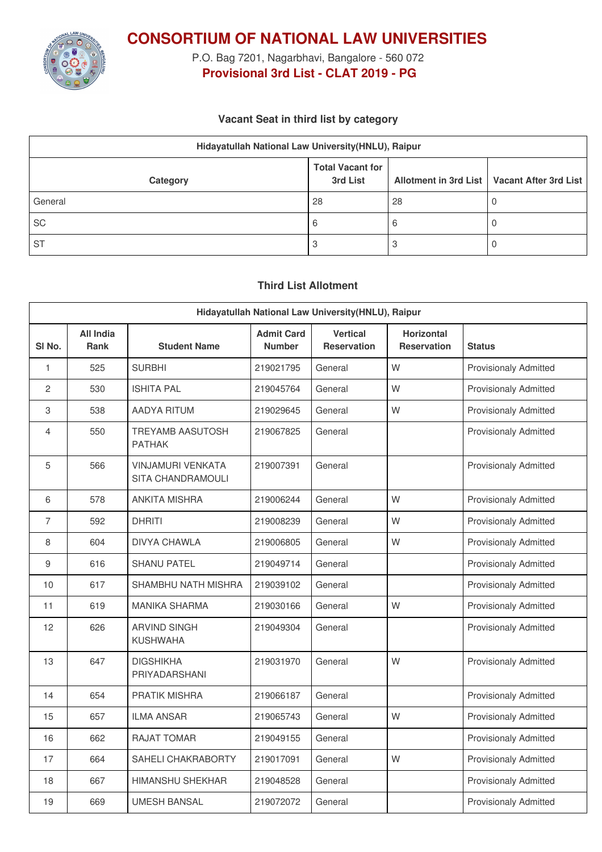

**CONSORTIUM OF NATIONAL LAW UNIVERSITIES**

P.O. Bag 7201, Nagarbhavi, Bangalore - 560 072 **Provisional 3rd List - CLAT 2019 - PG**

### **Vacant Seat in third list by category**

| Hidayatullah National Law University (HNLU), Raipur |                                     |    |                                               |  |  |
|-----------------------------------------------------|-------------------------------------|----|-----------------------------------------------|--|--|
| Category                                            | <b>Total Vacant for</b><br>3rd List |    | Allotment in 3rd List   Vacant After 3rd List |  |  |
| General                                             | 28                                  | 28 |                                               |  |  |
| <b>SC</b>                                           | 6                                   | b  |                                               |  |  |
| <b>ST</b>                                           | ن                                   |    |                                               |  |  |

### **Third List Allotment**

| Hidayatullah National Law University(HNLU), Raipur |                                 |                                               |                                    |                                |                                         |                              |
|----------------------------------------------------|---------------------------------|-----------------------------------------------|------------------------------------|--------------------------------|-----------------------------------------|------------------------------|
| SI <sub>No.</sub>                                  | <b>All India</b><br><b>Rank</b> | <b>Student Name</b>                           | <b>Admit Card</b><br><b>Number</b> | <b>Vertical</b><br>Reservation | <b>Horizontal</b><br><b>Reservation</b> | <b>Status</b>                |
| 1                                                  | 525                             | <b>SURBHI</b>                                 | 219021795                          | General                        | W                                       | <b>Provisionaly Admitted</b> |
| 2                                                  | 530                             | <b>ISHITA PAL</b>                             | 219045764                          | General                        | W                                       | <b>Provisionaly Admitted</b> |
| 3                                                  | 538                             | <b>AADYA RITUM</b>                            | 219029645                          | General                        | W                                       | <b>Provisionaly Admitted</b> |
| 4                                                  | 550                             | <b>TREYAMB AASUTOSH</b><br><b>PATHAK</b>      | 219067825                          | General                        |                                         | <b>Provisionaly Admitted</b> |
| 5                                                  | 566                             | <b>VINJAMURI VENKATA</b><br>SITA CHANDRAMOULI | 219007391                          | General                        |                                         | <b>Provisionaly Admitted</b> |
| 6                                                  | 578                             | ANKITA MISHRA                                 | 219006244                          | General                        | W                                       | <b>Provisionaly Admitted</b> |
| $\overline{7}$                                     | 592                             | <b>DHRITI</b>                                 | 219008239                          | General                        | W                                       | <b>Provisionaly Admitted</b> |
| 8                                                  | 604                             | <b>DIVYA CHAWLA</b>                           | 219006805                          | General                        | W                                       | <b>Provisionaly Admitted</b> |
| $\boldsymbol{9}$                                   | 616                             | <b>SHANU PATEL</b>                            | 219049714                          | General                        |                                         | <b>Provisionaly Admitted</b> |
| 10                                                 | 617                             | SHAMBHU NATH MISHRA                           | 219039102                          | General                        |                                         | <b>Provisionaly Admitted</b> |
| 11                                                 | 619                             | <b>MANIKA SHARMA</b>                          | 219030166                          | General                        | W                                       | <b>Provisionaly Admitted</b> |
| 12                                                 | 626                             | <b>ARVIND SINGH</b><br><b>KUSHWAHA</b>        | 219049304                          | General                        |                                         | <b>Provisionaly Admitted</b> |
| 13                                                 | 647                             | <b>DIGSHIKHA</b><br>PRIYADARSHANI             | 219031970                          | General                        | W                                       | <b>Provisionaly Admitted</b> |
| 14                                                 | 654                             | PRATIK MISHRA                                 | 219066187                          | General                        |                                         | <b>Provisionaly Admitted</b> |
| 15                                                 | 657                             | <b>ILMA ANSAR</b>                             | 219065743                          | General                        | W                                       | <b>Provisionaly Admitted</b> |
| 16                                                 | 662                             | <b>RAJAT TOMAR</b>                            | 219049155                          | General                        |                                         | <b>Provisionaly Admitted</b> |
| 17                                                 | 664                             | SAHELI CHAKRABORTY                            | 219017091                          | General                        | W                                       | <b>Provisionaly Admitted</b> |
| 18                                                 | 667                             | <b>HIMANSHU SHEKHAR</b>                       | 219048528                          | General                        |                                         | <b>Provisionaly Admitted</b> |
| 19                                                 | 669                             | <b>UMESH BANSAL</b>                           | 219072072                          | General                        |                                         | <b>Provisionaly Admitted</b> |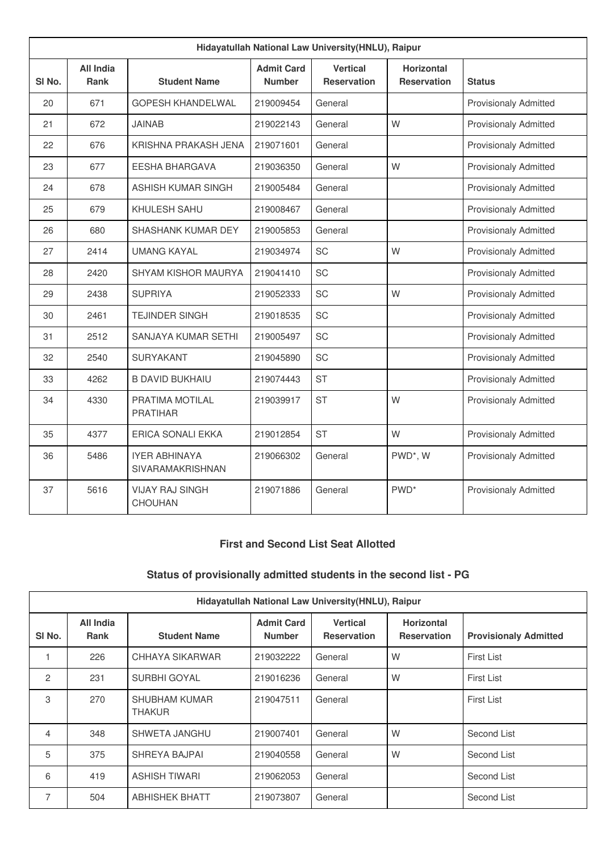| Hidayatullah National Law University(HNLU), Raipur |                          |                                          |                                    |                                       |                                         |                              |
|----------------------------------------------------|--------------------------|------------------------------------------|------------------------------------|---------------------------------------|-----------------------------------------|------------------------------|
| SI <sub>No.</sub>                                  | <b>All India</b><br>Rank | <b>Student Name</b>                      | <b>Admit Card</b><br><b>Number</b> | <b>Vertical</b><br><b>Reservation</b> | <b>Horizontal</b><br><b>Reservation</b> | <b>Status</b>                |
| 20                                                 | 671                      | GOPESH KHANDELWAL                        | 219009454                          | General                               |                                         | <b>Provisionaly Admitted</b> |
| 21                                                 | 672                      | <b>JAINAB</b>                            | 219022143                          | General                               | W                                       | <b>Provisionaly Admitted</b> |
| 22                                                 | 676                      | KRISHNA PRAKASH JENA                     | 219071601                          | General                               |                                         | <b>Provisionaly Admitted</b> |
| 23                                                 | 677                      | <b>EESHA BHARGAVA</b>                    | 219036350                          | General                               | W                                       | <b>Provisionaly Admitted</b> |
| 24                                                 | 678                      | <b>ASHISH KUMAR SINGH</b>                | 219005484                          | General                               |                                         | <b>Provisionaly Admitted</b> |
| 25                                                 | 679                      | KHULESH SAHU                             | 219008467                          | General                               |                                         | <b>Provisionaly Admitted</b> |
| 26                                                 | 680                      | SHASHANK KUMAR DEY                       | 219005853                          | General                               |                                         | <b>Provisionaly Admitted</b> |
| 27                                                 | 2414                     | <b>UMANG KAYAL</b>                       | 219034974                          | <b>SC</b>                             | W                                       | <b>Provisionaly Admitted</b> |
| 28                                                 | 2420                     | SHYAM KISHOR MAURYA                      | 219041410                          | <b>SC</b>                             |                                         | <b>Provisionaly Admitted</b> |
| 29                                                 | 2438                     | <b>SUPRIYA</b>                           | 219052333                          | <b>SC</b>                             | W                                       | <b>Provisionaly Admitted</b> |
| 30                                                 | 2461                     | <b>TEJINDER SINGH</b>                    | 219018535                          | <b>SC</b>                             |                                         | <b>Provisionaly Admitted</b> |
| 31                                                 | 2512                     | SANJAYA KUMAR SETHI                      | 219005497                          | SC                                    |                                         | <b>Provisionaly Admitted</b> |
| 32                                                 | 2540                     | <b>SURYAKANT</b>                         | 219045890                          | <b>SC</b>                             |                                         | <b>Provisionaly Admitted</b> |
| 33                                                 | 4262                     | <b>B DAVID BUKHAIU</b>                   | 219074443                          | <b>ST</b>                             |                                         | <b>Provisionaly Admitted</b> |
| 34                                                 | 4330                     | PRATIMA MOTILAL<br><b>PRATIHAR</b>       | 219039917                          | <b>ST</b>                             | W                                       | <b>Provisionaly Admitted</b> |
| 35                                                 | 4377                     | ERICA SONALI EKKA                        | 219012854                          | <b>ST</b>                             | W                                       | <b>Provisionaly Admitted</b> |
| 36                                                 | 5486                     | <b>IYER ABHINAYA</b><br>SIVARAMAKRISHNAN | 219066302                          | General                               | PWD <sup>*</sup> , W                    | <b>Provisionaly Admitted</b> |
| 37                                                 | 5616                     | <b>VIJAY RAJ SINGH</b><br>CHOUHAN        | 219071886                          | General                               | PWD <sup>*</sup>                        | <b>Provisionaly Admitted</b> |

### **First and Second List Seat Allotted**

# **Status of provisionally admitted students in the second list - PG**

| Hidayatullah National Law University (HNLU), Raipur |                          |                                       |                                    |                                       |                                         |                              |
|-----------------------------------------------------|--------------------------|---------------------------------------|------------------------------------|---------------------------------------|-----------------------------------------|------------------------------|
| SI No.                                              | All India<br><b>Rank</b> | <b>Student Name</b>                   | <b>Admit Card</b><br><b>Number</b> | <b>Vertical</b><br><b>Reservation</b> | <b>Horizontal</b><br><b>Reservation</b> | <b>Provisionaly Admitted</b> |
|                                                     | 226                      | CHHAYA SIKARWAR                       | 219032222                          | General                               | W                                       | <b>First List</b>            |
| 2                                                   | 231                      | <b>SURBHI GOYAL</b>                   | 219016236                          | General                               | W                                       | <b>First List</b>            |
| 3                                                   | 270                      | <b>SHUBHAM KUMAR</b><br><b>THAKUR</b> | 219047511                          | General                               |                                         | <b>First List</b>            |
| 4                                                   | 348                      | SHWETA JANGHU                         | 219007401                          | General                               | W                                       | Second List                  |
| 5                                                   | 375                      | SHREYA BAJPAI                         | 219040558                          | General                               | W                                       | Second List                  |
| 6                                                   | 419                      | <b>ASHISH TIWARI</b>                  | 219062053                          | General                               |                                         | Second List                  |
| 7                                                   | 504                      | <b>ABHISHEK BHATT</b>                 | 219073807                          | General                               |                                         | Second List                  |